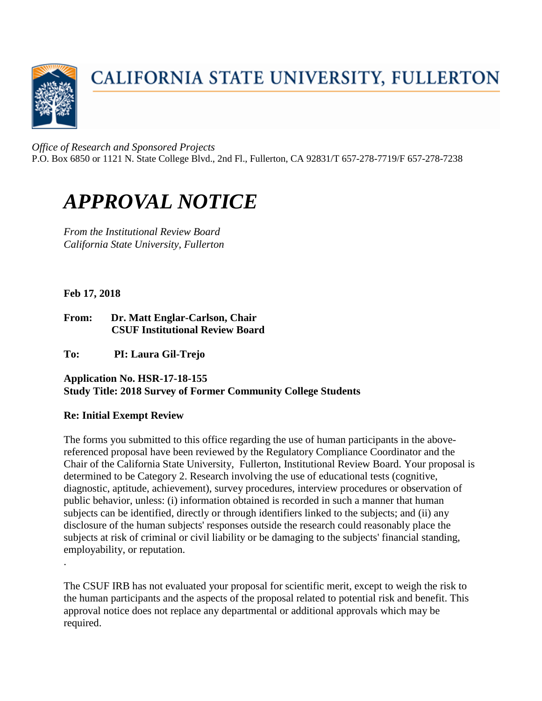

## CALIFORNIA STATE UNIVERSITY, FULLERTON

*Office of Research and Sponsored Projects* P.O. Box 6850 or 1121 N. State College Blvd., 2nd Fl., Fullerton, CA 92831/T 657-278-7719/F 657-278-7238

## *APPROVAL NOTICE*

*From the Institutional Review Board California State University, Fullerton* 

**Feb 17, 2018** 

.

**From: Dr. Matt Englar-Carlson, Chair CSUF Institutional Review Board**

**To: PI: Laura Gil-Trejo**

**Application No. HSR-17-18-155 Study Title: 2018 Survey of Former Community College Students**

## **Re: Initial Exempt Review**

The forms you submitted to this office regarding the use of human participants in the abovereferenced proposal have been reviewed by the Regulatory Compliance Coordinator and the Chair of the California State University, Fullerton, Institutional Review Board. Your proposal is determined to be Category 2. Research involving the use of educational tests (cognitive, diagnostic, aptitude, achievement), survey procedures, interview procedures or observation of public behavior, unless: (i) information obtained is recorded in such a manner that human subjects can be identified, directly or through identifiers linked to the subjects; and (ii) any disclosure of the human subjects' responses outside the research could reasonably place the subjects at risk of criminal or civil liability or be damaging to the subjects' financial standing, employability, or reputation.

The CSUF IRB has not evaluated your proposal for scientific merit, except to weigh the risk to the human participants and the aspects of the proposal related to potential risk and benefit. This approval notice does not replace any departmental or additional approvals which may be required.